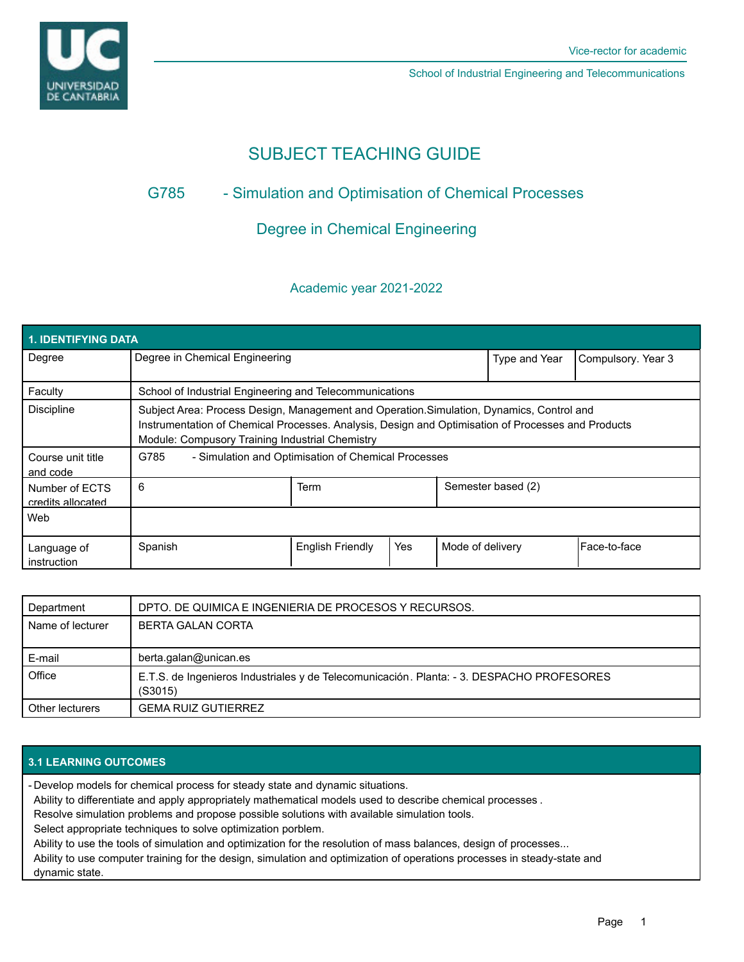

School of Industrial Engineering and Telecommunications

# SUBJECT TEACHING GUIDE

# G785 - Simulation and Optimisation of Chemical Processes

# Degree in Chemical Engineering

## Academic year 2021-2022

| <b>1. IDENTIFYING DATA</b>          |                                                                                                                                                                                                                                                    |                         |     |                    |               |                    |  |  |  |
|-------------------------------------|----------------------------------------------------------------------------------------------------------------------------------------------------------------------------------------------------------------------------------------------------|-------------------------|-----|--------------------|---------------|--------------------|--|--|--|
| Degree                              | Degree in Chemical Engineering                                                                                                                                                                                                                     |                         |     |                    | Type and Year | Compulsory. Year 3 |  |  |  |
| Faculty                             | School of Industrial Engineering and Telecommunications                                                                                                                                                                                            |                         |     |                    |               |                    |  |  |  |
| <b>Discipline</b>                   | Subject Area: Process Design, Management and Operation. Simulation, Dynamics, Control and<br>Instrumentation of Chemical Processes. Analysis, Design and Optimisation of Processes and Products<br>Module: Compusory Training Industrial Chemistry |                         |     |                    |               |                    |  |  |  |
| Course unit title<br>and code       | G785<br>- Simulation and Optimisation of Chemical Processes                                                                                                                                                                                        |                         |     |                    |               |                    |  |  |  |
| Number of ECTS<br>credits allocated | 6                                                                                                                                                                                                                                                  | Term                    |     | Semester based (2) |               |                    |  |  |  |
| Web                                 |                                                                                                                                                                                                                                                    |                         |     |                    |               |                    |  |  |  |
| Language of<br>instruction          | Spanish                                                                                                                                                                                                                                            | <b>English Friendly</b> | Yes | Mode of delivery   |               | lFace-to-face      |  |  |  |

| Department       | DPTO. DE QUIMICA E INGENIERIA DE PROCESOS Y RECURSOS.                                                |  |  |
|------------------|------------------------------------------------------------------------------------------------------|--|--|
| Name of lecturer | <b>BERTA GALAN CORTA</b>                                                                             |  |  |
|                  |                                                                                                      |  |  |
| E-mail           | berta.galan@unican.es                                                                                |  |  |
| Office           | E.T.S. de Ingenieros Industriales y de Telecomunicación. Planta: - 3. DESPACHO PROFESORES<br>(S3015) |  |  |
| Other lecturers  | <b>GEMA RUIZ GUTIERREZ</b>                                                                           |  |  |

### **3.1 LEARNING OUTCOMES**

Develop models for chemical process for steady state and dynamic situations. -

Ability to differentiate and apply appropriately mathematical models used to describe chemical processes .

Resolve simulation problems and propose possible solutions with available simulation tools.

Select appropriate techniques to solve optimization porblem.

Ability to use the tools of simulation and optimization for the resolution of mass balances, design of processes...

Ability to use computer training for the design, simulation and optimization of operations processes in steady-state and dynamic state.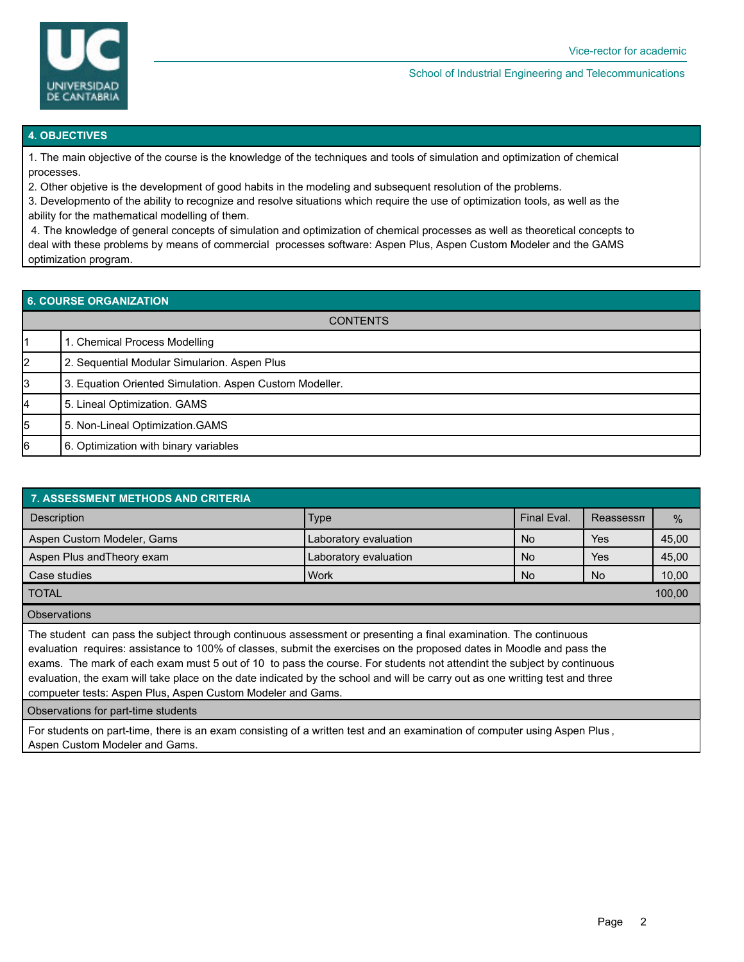

#### School of Industrial Engineering and Telecommunications

#### **4. OBJECTIVES**

1. The main objective of the course is the knowledge of the techniques and tools of simulation and optimization of chemical processes.

2. Other objetive is the development of good habits in the modeling and subsequent resolution of the problems.

3. Developmento of the ability to recognize and resolve situations which require the use of optimization tools, as well as the ability for the mathematical modelling of them.

 4. The knowledge of general concepts of simulation and optimization of chemical processes as well as theoretical concepts to deal with these problems by means of commercial processes software: Aspen Plus, Aspen Custom Modeler and the GAMS optimization program.

### **6. COURSE ORGANIZATION**

| <b>CONTENTS</b> |                                                         |  |  |  |  |
|-----------------|---------------------------------------------------------|--|--|--|--|
|                 | 1. Chemical Process Modelling                           |  |  |  |  |
| 12              | 2. Sequential Modular Simularion. Aspen Plus            |  |  |  |  |
| 3               | 3. Equation Oriented Simulation. Aspen Custom Modeller. |  |  |  |  |
| 4               | 5. Lineal Optimization. GAMS                            |  |  |  |  |
| 5               | 5. Non-Lineal Optimization. GAMS                        |  |  |  |  |
| l6              | 6. Optimization with binary variables                   |  |  |  |  |

| <b>7. ASSESSMENT METHODS AND CRITERIA</b>                                                                                                                                                                                                                                                                                                                                                                                                                                                                                                                           |                       |             |           |       |  |  |  |  |
|---------------------------------------------------------------------------------------------------------------------------------------------------------------------------------------------------------------------------------------------------------------------------------------------------------------------------------------------------------------------------------------------------------------------------------------------------------------------------------------------------------------------------------------------------------------------|-----------------------|-------------|-----------|-------|--|--|--|--|
| Description                                                                                                                                                                                                                                                                                                                                                                                                                                                                                                                                                         | <b>Type</b>           | Final Eval. | Reassessn | $\%$  |  |  |  |  |
| Aspen Custom Modeler, Gams                                                                                                                                                                                                                                                                                                                                                                                                                                                                                                                                          | Laboratory evaluation | No.         | Yes       | 45,00 |  |  |  |  |
| Aspen Plus and Theory exam                                                                                                                                                                                                                                                                                                                                                                                                                                                                                                                                          | Laboratory evaluation |             | Yes       | 45,00 |  |  |  |  |
| Case studies                                                                                                                                                                                                                                                                                                                                                                                                                                                                                                                                                        | <b>Work</b>           | No.         | No        | 10,00 |  |  |  |  |
| <b>TOTAL</b>                                                                                                                                                                                                                                                                                                                                                                                                                                                                                                                                                        |                       |             |           |       |  |  |  |  |
| <b>Observations</b>                                                                                                                                                                                                                                                                                                                                                                                                                                                                                                                                                 |                       |             |           |       |  |  |  |  |
| The student can pass the subject through continuous assessment or presenting a final examination. The continuous<br>evaluation requires: assistance to 100% of classes, submit the exercises on the proposed dates in Moodle and pass the<br>exams. The mark of each exam must 5 out of 10 to pass the course. For students not attendint the subject by continuous<br>evaluation, the exam will take place on the date indicated by the school and will be carry out as one writting test and three<br>compueter tests: Aspen Plus, Aspen Custom Modeler and Gams. |                       |             |           |       |  |  |  |  |

Observations for part-time students

For students on part-time, there is an exam consisting of a written test and an examination of computer using Aspen Plus , Aspen Custom Modeler and Gams.